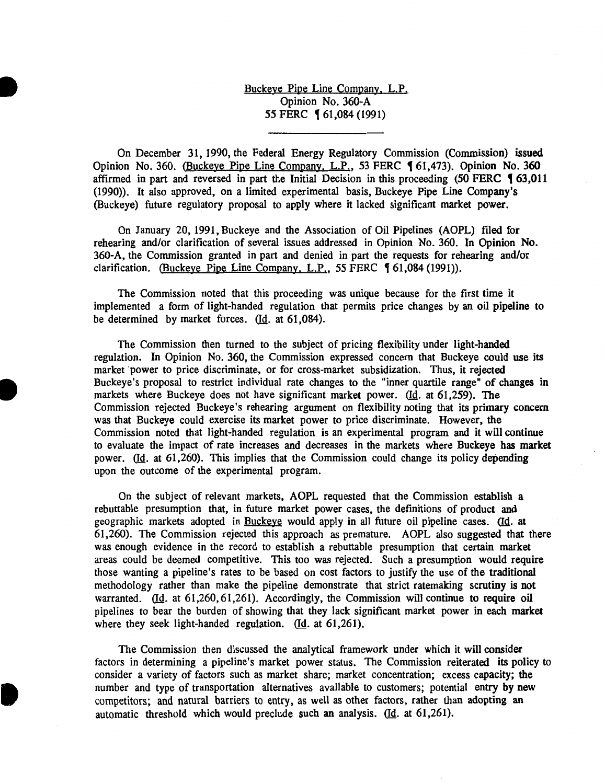Buckeye Pipe Line Company. L.P. Opinion No. 360-A 55 FERC **[61,084 (1991)** 

•

•

**•** 

On December 31, 1990, the Federal Energy Regulatory Commission (Commission) issued Opinion No. 360. (Buckeye Pipe Line Company, L.P., 53 FERC 161,473). Opinion No. 360 affirmed in part and reversed in part the Initial Decision in this proceeding  $(50$  FERC  $\frac{4}{3}$ , 63, 011 (1990)). It also approved, on a limited experimental basis, Buckeye Pipe Line Company's (Buckeye) future regulatory proposal to apply where it lacked significant market power.

On January 20, 1991, Buckeye and the Association of Oil Pipelines (AOPL) filed for rehearing and/or clarification of several issues addressed in Opinion No. 360. In Opinion No. 360-A, the Commission granted in part and denied in part the requests for rehearing and/or clarification. (Buckeye Pipe Line Company, L.P., 55 FERC  $\frac{4}{1084}$  (1991)).

The Commission noted that this proceeding was unique because for the first time it implemented a form of light-handed regulation that permits price changes by an oil pipeline to be determined by market forces.  $(Id. at 61,084).$ 

The Commission then turned to the subject of pricing flexibility under light-handed regulation. In Opinion No. 360, the Commission expressed concern that Buckeye could use its market power to price discriminate, or for cross-market subsidization. Thus, it rejected Buckeye's proposal to restrict individual rate changes to the "inner quartile range" of changes in markets where Buckeye does not have significant market power. (Id. at 61,259). The Commission rejected Buckeye's rehearing argument on flexibility noting that its primary concern was that Buckeye could exercise its market power to price discriminate. However, the Commission noted that light-handed regulation is an experimental program and it will continue to evaluate the impact of rate increases and decreases in the markets where Buckeye has market power. (Id. at 61,260). This implies that the Commission could change its policy depending upon the outcome of the experimental program.

On the subject of relevant markets, AOPL requested that the Commission establish a rebuttable presumption that, in future market power cases, the definitions of product and geographic markets adopted in Buckeye would apply in all future oil pipeline cases. (Id. at 61,260). The Commission rejected this approach as premature. AOPL also suggested that there was enough evidence in the record to establish a rebuttable presumption that certain market areas could be deemed competitive. This too was rejected. Such a presumption would require those wanting a pipeline's rates to be based on cost factors to justify the use of the traditional methodology rather than make the pipeline demonstrate that strict ratemaking scrutiny is not warranted. (Id. at 61,260,61,261). Accordingly, the Commission will continue to require oil pipelines to bear the burden of showing that they lack significant market power in each market where they seek light-handed regulation. (Id. at  $61,261$ ).

The Commission then discussed the analytical framework under which it will consider factors in determining a pipeline's market power status. The Commission reiterated its policy to consider a variety of factors such as market share; market concentration; excess capacity; the number and type of transportation alternatives available to customers; potential entry by new competitors; and natural barriers to entry, as well as other factors, rather than adopting an automatic threshold which would preclude such an analysis.  $(d. a. 61,261)$ .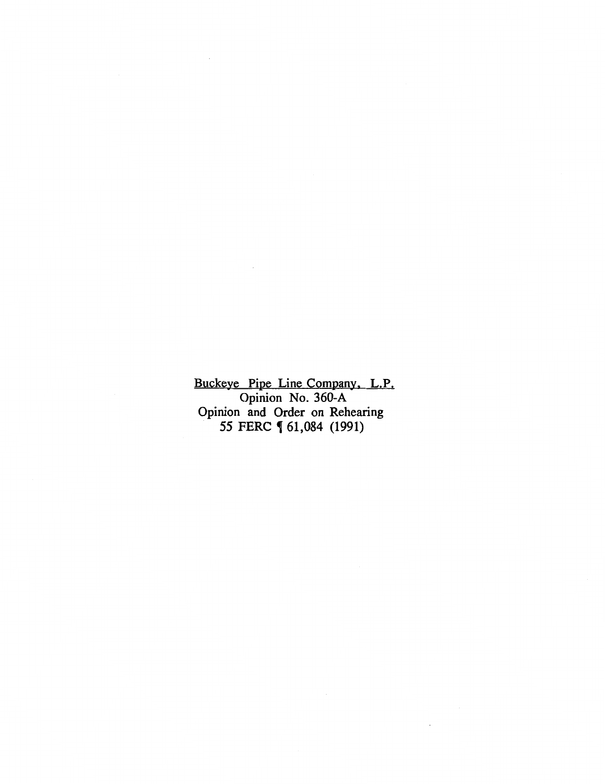Buckeye Pipe Line Company. L.P. Opinion No. 360-A Opinion and Order on Rehearing *55* FERC , 61,084 (1991)

 $\sim 10^7$ 

 $\bar{z}$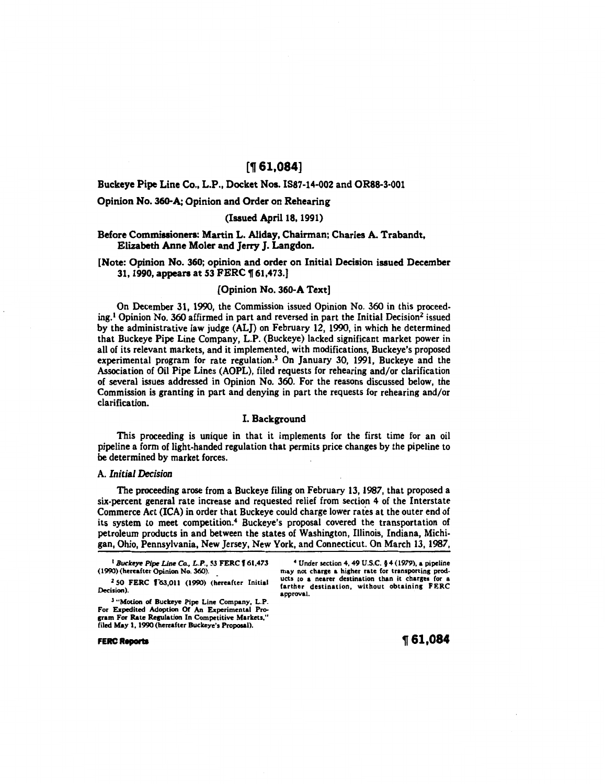# [~ **61,084]**

# Buckeye Pipe Line Co., L.P., Docket Nos. IS87-14-002 and OR88-3-001

## Opinion No. 360-A; Opinion and Order on Rehearing

## (Issued April 18, 1991)

# Before Commissioners: Martin L. Allday, Chairman: Charles A. Trabandt, Elizabeth Anne Moler and Jerry J. Langdon.

# [Note: Opinion No. 360; opinion and order on Initial Decision issued December 31, 1990, appears at 53 FERC \61,473.]

# [Opinion No. 360-A Text]

On December 31, 1990, the Commission issued Opinion No. 360 in this proceeding.1 Opinion No. 360 affirmed in part and reversed in part the Initial Decision2 issued by the administrative law judge (ALJ) on February 12, 1990, in which he determined that Buckeye Pipe Line Company, L.P. (Buckeye) lacked significant market power in all of its relevant markets, and it implemented, with modifications, Buckeye's proposed experimental program for rate regulation.3 On January 30, 1991, Buckeye and the Association of Oil Pipe Lines (AOPL), filed requests for rehearing and/or clarification of several issues addressed in Opinion No. 360. For the reasons discussed below, the Commission is granting in part and denying in part the requests for rehearing and/or clarification.

#### I. Background

This proceeding is unique in that it implements for the first time for an oil pipeline a form of light-handed regulation that permits price changes by the pipeline to be determined by market forces.

#### A. *Initial Decision*

The proceeding arose from a Buckeye filing on February 13, 1987, that proposed a six-percent general rate increase and requested relief from section 4 of the Interstate Commerce Act (ICA) in order that Buckeye could charge lower rates at the outer end of its system to meet competition.<sup>4</sup> Buckeye's proposal covered the transportation of petroleum products in and between the states of Washington, Illinois, Indiana, Michigan, Ohio, Pennsylvania, New Jersey, New York, and Connecticut. On March 13, 1987,

<sup>1</sup> Buckeye Pipe Line Co., L.P., 53 FERC 161,473 (1990) (hereafter Opinion No. 360).

<sup>2</sup> 50 FERC 163,011 (1990) (hereafter Initial Decision).

3 "'Motion of Buckeye Pipe Line Company, L.P. For Expedited Adoption Of An Experimental Program For Rate Replation In Competitive Markets," filed May 1, 1990(hereafter Buckeye's Proposal).

4 Under section 4, 49 U.S.C. § 4 (1979), a pipeline may not charge a higher rate for transporting products to a nearer destination than it charges for a farther destination, without obtaining FERC approval.

**FERC Reports** 

~61,084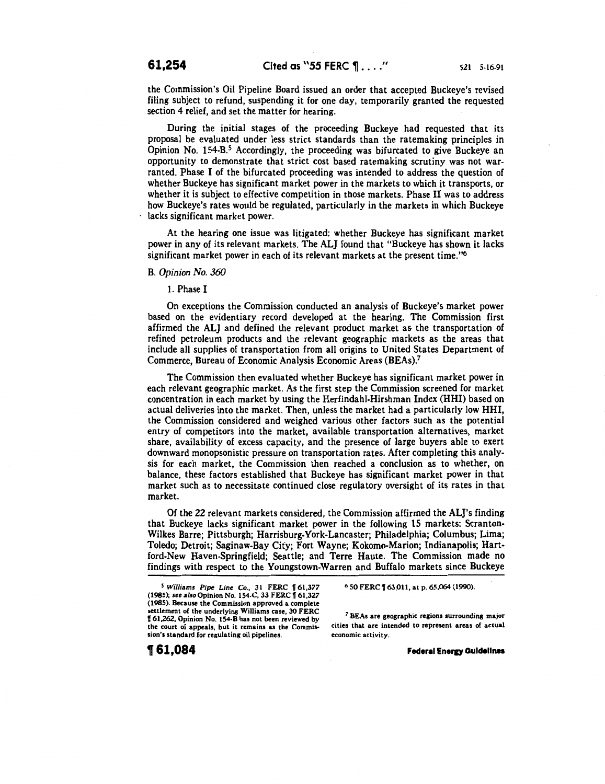the Commission's Oil Pipeline Board issued an order that accepted Buckeye's revised filing subject to refund, suspending it for one day, temporarily granted the requested section 4 relief, and set the matter for hearing.

During the initial stages of the proceeding Buckeye had requested that its proposal be evaluated under less strict standards than the ratemaking principles in Opinion No. 154-B.<sup>5</sup> Accordingly, the proceeding was bifurcated to give Buckeye an opportunity to demonstrate that strict cost based ratemaking scrutiny was not warranted. Phase I of the bifurcated proceeding was intended to address the question of whether Buckeye has significant market power in the markets to which it transports, or whether it is subject to effective competition in those markets. Phase II was to address how Buckeye's rates would be regulated, particularly in the markets in which Buckeye lacks significant market power.

At the hearing one issue was litigated: whether Buckeye has significant market power in any of its relevant markets. The ALJ found that "Buckeye has shown it lacks significant market power in each of its relevant markets at the present time."6

## B. *Opinion No. 360*

1. Phase I

On exceptions the Commission conducted an analysis of Buckeye's market power based on the evidentiary record developed at the hearing. The Commission first affirmed the ALJ and defined the relevant product market as the transportation of refined petroleum products and the relevant geographic markets as the areas that include all supplies of transportation from all origins to United States Department of Commerce, Bureau of Economic Analysis Economic Areas (BEAs).7

The Commission then evaluated whether Buckeye has significant market power in each relevant geographic market. As the first step the Commission screened for market concentration in each market by using the Herfindahl-Hirshman Index (HHI) based on actual deliveries into the market. Then, unless the market had a particularly low HHI, the Commission considered and weighed various other factors such as the potential entry of competitors into the market, available transportation alternatives, market share, availability of excess capacity, and the presence of large buyers able to exert downward monopsonistic pressure on transportation rates. After completing this analysis for each market, the Commission then reached a conclusion as to whether, on balance, these factors established that Buckeye has significant market power in that market such as to necessitate continued close regulatory oversight of its rates in that market.

Of the 22 relevant markets considered, the Commission affirmed the AL}'s finding that Buckeye lacks significant market power in the following 15 markets: Scranton-Wilkes Barre; Pittsburgh; Harrisburg-York-Lancaster; Philadelphia; Columbus; Lima; Toledo; Detroit; Saginaw-Bay City; Fort Wayne; Kokomo-Marion; Indianapolis; Hartford-New Haven-Springfield; Seattle; and Terre Haute. The Commission made no findings with respect to the Youngstown-Warren and Buffalo markets since Buckeye

**t61,084** 

6 50 FERC  $\sqrt{ }$  63,011, at p. 65,064 (1990).

*<sup>7</sup>*BEAs are geographic regions surrounding major cities that are intended to represent areas of actual economic activity.

**Federal Energy Guidelines** 

<sup>&</sup>lt;sup>5</sup> Williams Pipe Line Co., 31 FERC 161,377 (1985); see also Opinion No. 154-C, 33 FERC 161,327 (1985). Because the Commission approved a complete settlement of the underlying Williams case, 30 FERC V 61,262, Opinion No. 154-B has not been reviewed by the court of appeals, but it remains as the Commission's standard for regulating oil pipelines.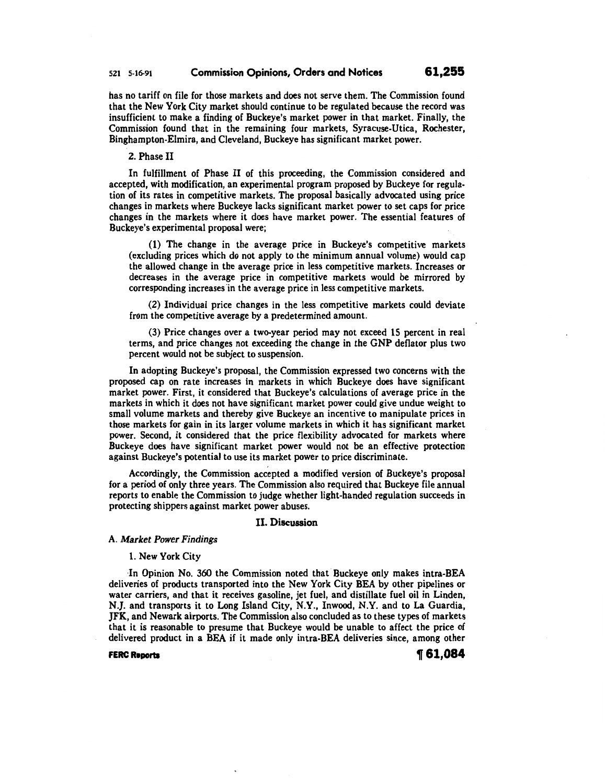# 521 5-16-91 Commission Opinions, Orders and Notices 61,255

has no tariff on file for those markets and does not serve them. The Commission found that the New York City market should continue to be regulated because the record was insufficient to make a finding of Buckeye's market power in that market. Finally, the Commission found that in the remaining four markets, Syracuse-Utica, Rochester, Binghampton-Elmira, and Cleveland, Buckeye has significant market power.

#### 2. Phase II

In fulfillment of Phase II of this proceeding, the Commission considered and accepted, with modification, an experimental program proposed by Buckeye for regulation of its rates in competitive markets. The proposal basically advocated using price changes in markets where Buckeye lacks significant market power to set caps for price changes in the markets where it does have market power. The essential features of Buckeye's experimental proposal were;

(1) The change in the average price in Buckeye's competitive markets (excluding prices which do not apply to the minimum annual volume) would cap the allowed change in the average price in less competitive markets. Increases or decreases in the average price in competitive markets would be mirrored by corresponding increases in the average price in less competitive markets.

(2) Individual price changes in the less competitive markets could deviate from the competitive average by a predetermined amount.

(3) Price changes over a two-year period may not exceed 15 percent in real terms, and price changes not exceeding the change in the GNP deflator plus two percent would not be subject to suspension.

In adopting Buckeye's proposal, the Commission expressed two concerns with the proposed cap on rate increases in markets in which Buckeye does have significant market power. First, it considered that Buckeye's calculations of average price in the markets in which it does not have significant market power could give undue weight to small volume markets and thereby give Buckeye an incentive to manipulate prices in those markets for gain in its larger volume markets in which it has significant market power. Second, it considered that the price flexibility advocated for markets where Buckeye does have significant market power would not be an effective protection against Buckeye's potential to use its market power to price discriminate.

Accordingly, the Commission accepted a modified version of Buckeye's proposal for a period of only three years. The Commission also required that Buckeye file annual reports to enable the Commission to judge whether light-handed regulation succeeds in protecting shippers against market power abuses.

#### II. Discussion

## A. *Market Power Findings*

## 1. New York City

In Opinion No. 360 the Commission noted that Buckeye only makes intra-BEA deliveries of products transported into the New York City BEA by other pipelines or water carriers, and that it receives gasoline, jet fuel, and distillate fuel oil in Linden, N.J. and transports it to Long Island City, N.Y., Inwood, N.Y. and to La Guardia, JFK, and Newark airports. The Commission also concluded as to these types of markets that it is reasonable to presume that Buckeye would be unable to affect the price of delivered product in a BEA if it made only intra-BEA deliveries since, among other

FERC Reports  $\textcolor{red}{\P}$  61,084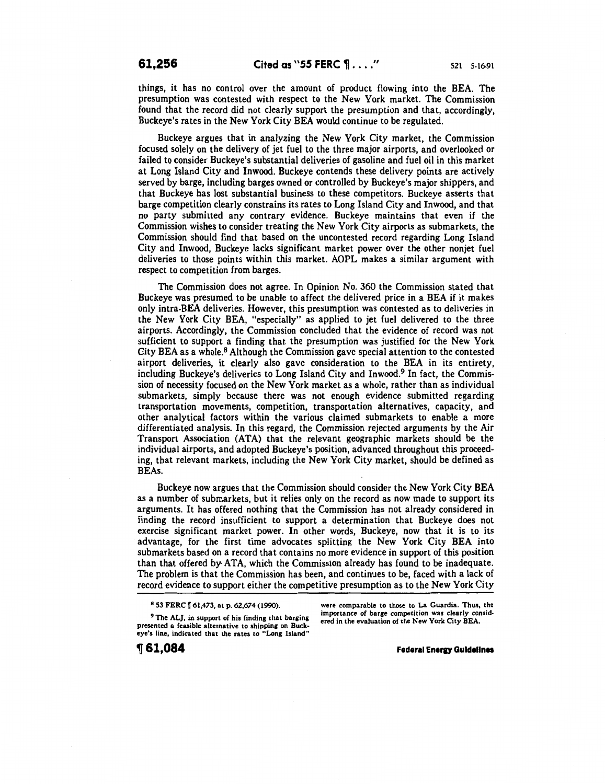things, it has no control over the amount of product flowing into the BEA. The presumption was contested with respect to the New York market. The Commission found that the record did not clearly support the presumption and that, accordingly, Buckeye's rates in the New York City BEA would continue to be regulated.

Buckeye argues that in analyzing the New York City market, the Commission focused solely on the delivery of jet fuel to the three major airports, and overlooked or failed to consider Buckeye's substantial deliveries of gasoline and fuel oil in this market at Long Island City and Inwood. Buckeye contends these delivery points are actively served by barge, including barges owned or controlled by Buckeye's major shippers, and that Buckeye has lost substantial business to these competitors. Buckeye asserts that barge competition clearly constrains its rates to Long Island City and Inwood, and that no party submitted any contrary evidence. Buckeye maintains that even if the Commission wishes to consider treating the New York City airports as submarkets, the Commission should find that based on the uncontested record regarding Long Island City and Inwood, Buckeye lacks significant market power over the other nonjet fuel deliveries to those points within this market. AOPL makes a similar argument with respect to competition from barges.

The Commission does not agree. In Opinion No. 360 the Commission stated that Buckeye was presumed to be unable to affect the delivered price in a BEA if it makes only intra-BEA deliveries. However, this presumption was contested as to deliveries in the New York City BEA, "especially" as applied to jet fuel delivered to the three airports. Accordingly, the Commission concluded that the evidence of record was not sufficient to support a finding that the presumption was justified for the New York City BEA as a whole.8 Although the Commission gave special attention to the contested airport deliveries, it clearly also gave consideration to the BEA in its entirety, including Buckeye's deliveries to Long Island City and Inwood.9 In fact, the Commission of necessity focused on the New York market as a whole, rather than as individual submarkets, simply because there was not enough evidence submitted regarding transportation movements, competition, transportation alternatives, capacity, and other analytical factors within the various claimed submarkets to enable a more differentiated analysis. In this regard, the Commission rejected arguments by the Air Transport Association (ATA) that the relevant geographic markets should be the individual airports, and adopted Buckeye's position, advanced throughout this proceeding, that relevant markets, including the New York City market, should be defined as BEAs.

Buckeye now argues that the Commission should consider the New York City BEA as a number of submarkets, but it relies only on the record as now made to support its arguments. It has offered nothing that the Commission has not already considered in finding the record insufficient to support a determination that Buckeye does not exercise significant market power. In other words, Buckeye, now that it is to its advantage, for the first time advocates splitting the New York City BEA into submarkets based on a record that contains no more evidence in support of this position than that offered by ATA, which the Commission already has found to be inadequate. The problem is that the Commission has been, and continues to be, faced with a lack of record evidence to support either the competitive presumption as to the New York City

<sup>9</sup> The ALJ, in support of his finding that barging presented a feasible alternative to shipping on Buckeye's line, indicated that the rates to "Long Island"

were comparable to those to La Guardia. Thus, the importance of barge competition was clearly considered in the evaluation of the New York City BEA.

, **61,084** 

**Federal Energy Guidelines** 

<sup>8 53</sup> FERC  $\llbracket 61,473,$  at p. 62,674 (1990).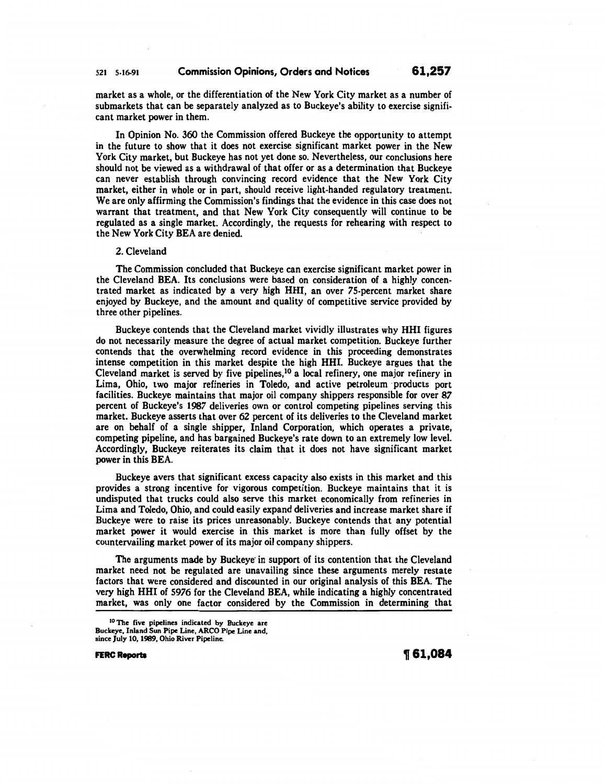# 521 5-16-91 Commission Opinions, Orders and Notices **61,257**

market as a whole, or the differentiation of the New York City market as a number of submarkets that can be separately analyzed as to Buckeye's ability to exercise significant market power in them.

In Opinion No. 360 the Commission offered Buckeye the opportunity to attempt in the future to show that it does not exercise significant market power in the New York City market, but Buckeye has not yet done so. Nevertheless, our conclusions here should not be viewed as a withdrawal of that offer or as a determination that Buckeye can never establish through convincing record evidence that the New York City market, either in whole or in part, should receive light-handed regulatory treatment. We are only affirming the Commission's findings that the evidence in this case does not warrant that treatment, and that New York City consequently will continue to be regulated as a single market. Accordingly, the requests for rehearing with respect to the New York City BEA are denied.

#### 2. Cleveland

The Commission concluded that Buckeye can exercise significant market power in the Cleveland BEA. Its conclusions were based on consideration of a highly concentrated market as indicated by a very high HHI, an over 75-percent market share enjoyed by Buckeye, and the amount and quality of competitive service provided by three other pipelines.

Buckeye contends that the Cleveland market vividly illustrates why HHI figures do not necessarily measure the degree of actual market competition. Buckeye further contends that the overwhelming record evidence in this proceeding demonstrates intense competition in this market despite the high HHI. Buckeye argues that the Cleveland market is served by five pipelines,<sup>10</sup> a local refinery, one major refinery in Lima, Ohio, two major refineries in Toledo, and active petroleum products port facilities. Buckeye maintains that major oil company shippers responsible for over *87*  percent of Buckeye's 1987 deliveries own or control competing pipelines serving this market. Buckeye asserts that over 62 percent of its deliveries to the Cleveland market are on behalf of a single shipper, Inland Corporation, which operates a private, competing pipeline, and has bargained Buckeye's rate down to an extremely low level. Accordingly, Buckeye reiterates its claim that it does not have significant market power in this BEA.

Buckeye avers that significant excess capacity also exists in this market and this provides a strong incentive for vigorous competition. Buckeye maintains that it is undisputed that trucks could also serve this market economically from refineries in Lima and Toledo, Ohio, and could easily expand deliveries and increase market share if Buckeye were to raise its prices unreasonably. Buckeye contends that any potential market power it would exercise in this market is more than fully offset by the countervailing market power of its major oil company shippers.

The arguments made by Buckeye in support of its contention that the Cleveland market need not be regulated are unavailing since these arguments merely restate factors that were considered and discounted in our original analysis of this BEA. The very high HHI of *5976* for the Cleveland BEA, while indicating a highly concentrated market, was only one factor considered by the Commission in determining that

**FERC Reports 161,084** 

IO The five pipelines indicated by Buckeye are Buckeye, Inland Sun Pipe Line, ARCO Pipe Line and, since July 10, 1989, Ohio River Pipeline.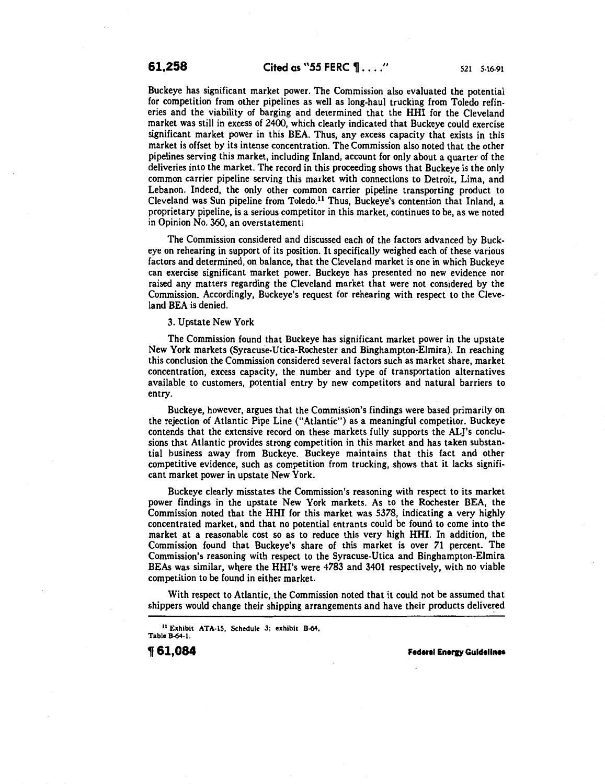Buckeye has significant market power. The Commission also evaluated the potential for competition from other pipelines as well as long-haul trucking from Toledo refineries and the viability of barging and determined that the HHI for the Cleveland market was still in excess of 2400, which clearly indicated that Buckeye could exercise significant market power in this BEA. Thus, any excess capacity that exists in this market is offset by its intense concentration. The Commission also noted that the other pipelines serving this market, including Inland, account for only about a quarter of the deliveries into the market. The record in this proceeding shows that Buckeye is the only common carrier pipeline serving this market with connections to Detroit, Lima, and Lebanon. Indeed, the only other common carrier pipeline transporting product to Cleveland was Sun pipeline from Toledo.<sup>11</sup> Thus, Buckeye's contention that Inland, a proprietary pipeline, is a serious competitor in this market, continues to be, as we noted in Opinion No. 360, an overstatement!

The Commission considered and discussed each of the factors advanced by Buckeye on rehearing in support of its position. It specifically weighed each of these various factors and determined, on balance, that the Cleveland market is one in which Buckeye can exercise significant market power. Buckeye has presented no new evidence nor raised any matters regarding the Cleveland market that were not considered by the Commission. Accordingly, Buckeye's request for rehearing with respect to the Cleveland BEA is denied.

#### 3. Upstate New York

The Commission found that Buckeye has significant market power in the upstate New York markets (Syracuse-Utica-Rochester and Binghampton-Elmira). In reaching this conclusion the Commission considered several factors such as market share, market concentration, excess capacity, the number and type of transportation alternatives available to customers, potential entry by new competitors and natural barriers to entry.

Buckeye, however, argues that the Commission's findings were based primarily on the rejection of Atlantic Pipe Line ("Atlantic") as a meaningful competitor. Buckeye contends that the extensive record on these markets fully supports the AL]'s conclusions that Atlantic provides strong competition in this market and has taken substantial business away from Buckeye. Buckeye maintains that this fact and other competitive evidence, such as competition from trucking, shows that it lacks significant market power in upstate New York.

Buckeye clearly misstates the Commission's reasoning with respect to its market power findings in the upstate New York markets. As to the Rochester BEA, the Commission noted that the HHI for this market was 5378, indicating a very highly concentrated market, and that no potential entrants could be found to come into the market at a reasonable cost so as to reduce this very high HHI. In addition, the Commission found that Buckeye's share of this market is over 71 percent. The Commission's reasoning with respect to the Syracuse-Utica and Binghampton-Elmira BEAs was similar, where the HHI's were 4783 and 3401 respectively, with no viable competition to be found in either market.

With respect to Atlantic, the Commission noted that it could not be assumed that shippers would change their shipping arrangements and have their products delivered

11 Exhibit ATA-15, Schedule 3; exhibit B-64, Table B-64·1.

**161,084** Federal Energy Guidelines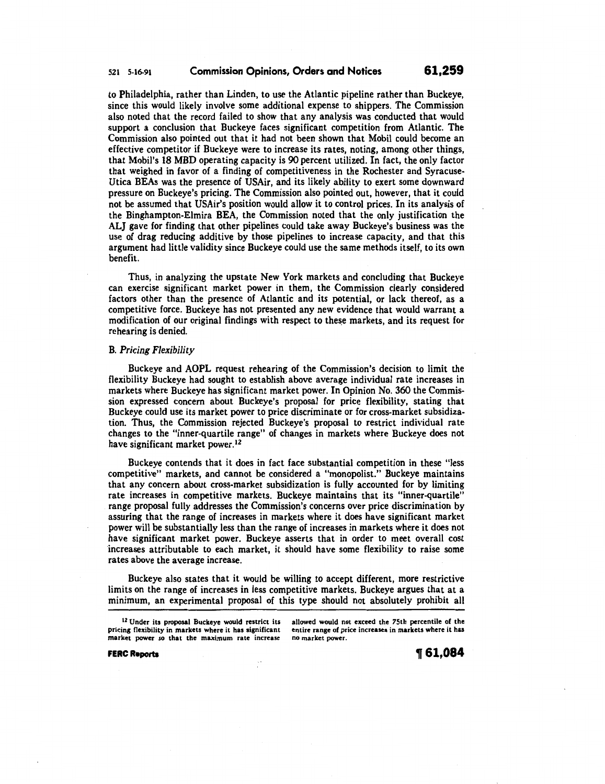to Philadelphia, rather than Linden, to use the Atlantic pipeline rather than Buckeye, since this would likely involve some additional expense to shippers. The Commission also noted that the record failed to show that any analysis was conducted that would support a conclusion that Buckeye faces significant competition from Atlantic. The Commission also pointed out that it had not been shown that Mobil could become an effective competitor if Buckeye were to increase its rates, noting, among other things, that Mobil's 18 MBD operating capacity is 90 percent utilized. In fact, the only factor that weighed in favor of a finding of competitiveness in the Rochester and Syracuse-Utica BEAs was the presence of USAir, and its likely ability to exert some downward pressure on Buckeye's pricing. The Commission also pointed out, however, that it could not be assumed that USAir's position would allow it to control prices. In its analysis of the Binghampton-Elmira BEA, the Commission noted that the only justification the ALJ gave for finding that other pipelines could take away Buckeye's business was the use of drag reducing additive by those pipelines to increase capacity, and that this argument had little validity since Buckeye could use the same methods itself, to its own benefit.

Thus, in analyzing the upstate New York markets and concluding that Buckeye can exercise significant market power in them, the Commission clearly considered factors other than the presence of Atlantic and its potential, or lack thereof, as a competitive force. Buckeye has not presented any new evidence that would warrant a modification of our original findings with respect to these markets, and its request for rehearing is denied.

#### B. *Pricing Flexibility*

Buckeye and AOPL request rehearing of the Commission's decision to limit the flexibility Buckeye had sought to establish above average individual rate increases in markets where Buckeye has significant market power. In Opinion No. 360 the Commission expressed concern about Buckeye's proposal for price flexibility, stating that Buckeye could use its market power to price discriminate or for cross-market subsidization. Thus, the Commission rejected Buckeye's proposal to restrict individual rate changes to the "inner-quartile range" of changes in markets where Buckeye does not have significant market power. <sup>12</sup>

Buckeye contends that it does in fact face substantial competition in these "less competitive" markets, and cannot be considered a "monopolist." Buckeye maintains that any concern about cross-market subsidization is fully accounted for by limiting rate increases in competitive markets. Buckeye maintains that its "inner-quartile" range proposal fully addresses the Commission's concerns over price discrimination by assuring that the range of increases in markets where it does have significant market power will be substantially less than the range of increases in markets where it does not have significant market power. Buckeye asserts that in order to meet overall cost increases attributable to each market, it should have some flexibility to raise some rates above the average increase.

Buckeye also states that it would be willing to accept different, more restrictive limits on the range of increases in less competitive markets. Buckeye argues that at a minimum, an experimental proposal of this type should not absolutely prohibit all

<sup>12</sup> Under its proposal Buckeye would restrict its pricing flexibility in markets where it has significant market power so that the maximum rate increase allowed would not exceed the 75th percentile of the entire range of price increases in markets where it has no market power.

FERC Reports

t61,084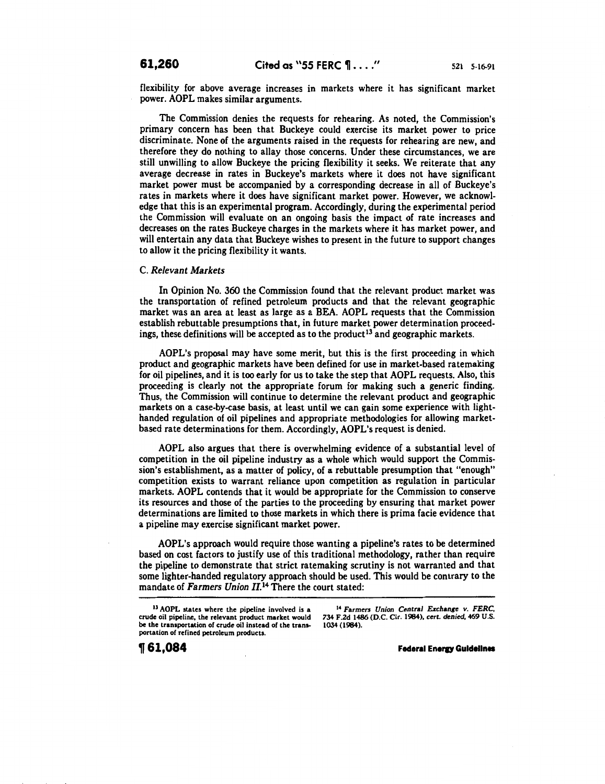flexibility for above average increases in markets where it has significant market power. AOPL makes similar arguments.

The Commission denies the requests for rehearing. As noted, the Commission's primary concern has been that Buckeye could exercise its market power to price discriminate. None of the arguments raised in the requests for rehearing are new, and therefore they do nothing to allay those concerns. Under these circumstances, we are still unwilling to allow Buckeye the pricing flexibility it seeks. We reiterate that any average decrease in rates in Buckeye's markets where it does not have significant market power must be accompanied by a corresponding decrease in all of Buckeye's rates in markets where it does have significant market power. However, we acknowledge that this is an experimental program. Accordingly, during the experimental period the Commission will evaluate on an ongoing basis the impact of rate increases and decreases on the rates Buckeye charges in the markets where it has market power, and will entertain any data that Buckeye wishes to present in the future to support changes to allow it the pricing flexibility it wants.

# C. *Relevant Markets*

In Opinion No. 360 the Commission found that the relevant product market was the transportation of refined petroleum products and that the relevant geographic market was an area at least as large as a BEA. AOPL requests that the Commission establish rebuttable presumptions that, in future market power determination proceedings, these definitions will be accepted as to the product<sup>13</sup> and geographic markets.

AOPL's proposal may have some merit, but this is the first proceeding in which product and geographic markets have been defined for use in market-based ratemaking for oil pipelines, and it is too early for us to take the step that AOPL requests. Also, this proceeding is clearly not the appropriate forum for making such a generic finding. Thus, the Commission will continue to determine the relevant product and geographic markets on a case-by-case basis, at least until we can gain some experience with lighthanded regulation of oil pipelines and appropriate methodologies for allowing marketbased rate determinations for them. Accordingly, AOPL's request is denied.

AOPL also argues that there is overwhelming evidence of a substantial level of competition in the oil pipeline industry as a whole which would support the Commission's establishment, as a matter of policy, of a rebuttable presumption that "enough" competition exists to warrant reliance upon competition as regulation in particular markets. AOPL contends that it would be appropriate for the Commission to conserve its resources and those of the parties to the proceeding by ensuring that market power determinations are limited to those markets in which there is prima facie evidence that a pipeline may exercise significant market power.

AOPL's approach would require those wanting a pipeline's rates to be determined based on cost factors to justify use of this traditional methodology, rather than require the pipeline to demonstrate that strict ratemaking scrutiny is not warranted and that some lighter-handed regulatory approach should be used. This would be contrary to the mandate of *Farmers Union II*.<sup>14</sup> There the court stated:

14 Farmers *Union Central Exchange v. FERC,*  734 F.2d 1486 (D.C. Cir. 1984), cert. *denied,* 469 U.S. 1034 (1984).

**Federal Energy Guidelines** 

<sup>13</sup>AOPL states where the pipeline involved is a crude oil pipeline, the relevant product market would be the transportation of crude oil instead of the transportation of refined petroleum products.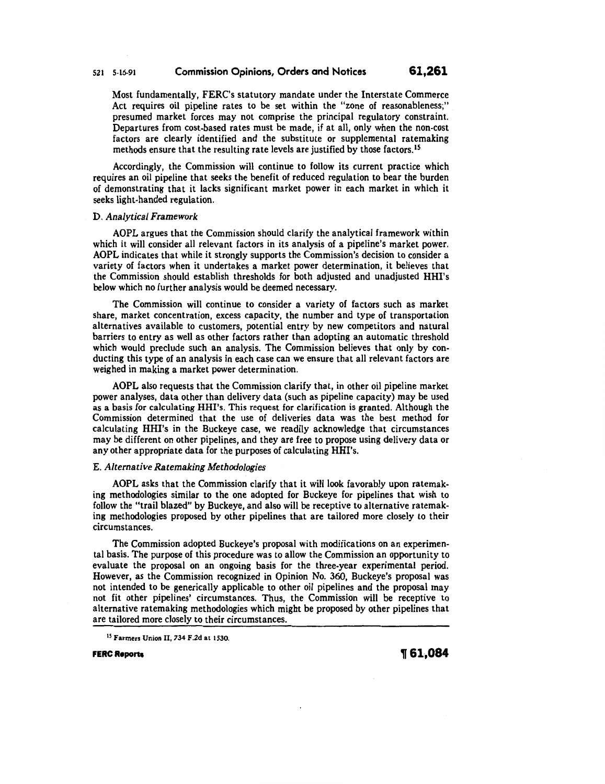Most fundamentally, FERC's statutory mandate under the Interstate Commerce Act requires oil pipeline rates to be set within the "zone of reasonableness;" presumed market forces may not comprise the principal regulatory constraint. Departures from cost-based rates must be made, if at all, only when the non-cost factors are clearly identified and the substitute or supplemental ratemaking methods ensure that the resulting rate levels are justified by those factors.<sup>15</sup>

Accordingly, the Commission will continue to follow its current practice which requires an oil pipeline that seeks the benefit of reduced regulation to bear the burden of demonstrating that it lacks significant market power in each market in which it seeks light-handed regulation.

#### D. *Analytical Framework*

AOPL argues that the Commission should clarify the analytical framework within which it will consider all relevant factors in its analysis of a pipeline's market power. AOPL indicates that while it strongly supports the Commission's decision to consider a variety of factors when it undertakes a market power determination, it believes that the Commission should establish thresholds for both adjusted and unadjusted HHI's below which no further analysis would be deemed necessary.

The Commission will continue to consider a variety of factors such as market share, market concentration, excess capacity, the number and type of transportation alternatives available to customers, potential entry by new competitors and natural barriers to entry as well as other factors rather than adopting an automatic threshold which would preclude such an analysis. The Commission believes that only by conducting this type of an analysis in each case can we ensure that all relevant factors are weighed in making a market power determination.

AOPL also requests that the Commission clarify that, in other oil pipeline market power analyses, data other than delivery data (such as pipeline capacity) may be used as a basis for calculating HHI's. This request for clarification is granted. Although the Commission determined that the use of deliveries data was the best method for calculating HHI's in the Buckeye case, we readily acknowledge that circumstances may be different on other pipelines, and they are free to propose using delivery data or any other appropriate data for the purposes of calculating HHI's.

#### E. *Alternative Ratemaking Methodologies*

AOPL asks that the Commission clarify that it will look favorably upon ratemaking methodologies similar to the one adopted for Buckeye for pipelines that wish to follow the "trail blazed" by Buckeye, and also will be receptive to alternative ratemaking methodologies proposed by other pipelines that are tailored more closely to their circumstances.

The Commission adopted Buckeye's proposal with modifications on an experimental basis. The purpose of this procedure was to allow the Commission an opportunity to evaluate the proposal on an ongoing basis for the three-year experimental period. However, as the Commission recognized in Opinion No. 360, Buckeye's proposal was not intended to be generically applicable to other oil pipelines and the proposal may not fit other pipelines' circumstances. Thus, the Commission will be receptive to alternative ratemaking methodologies which might be proposed by other pipelines that are tailored more closely to their circumstances.

**FERC Reports**  $\text{ }$  **61,084** 

<sup>15</sup> Farmers Union II, 734 F.2d at 1530.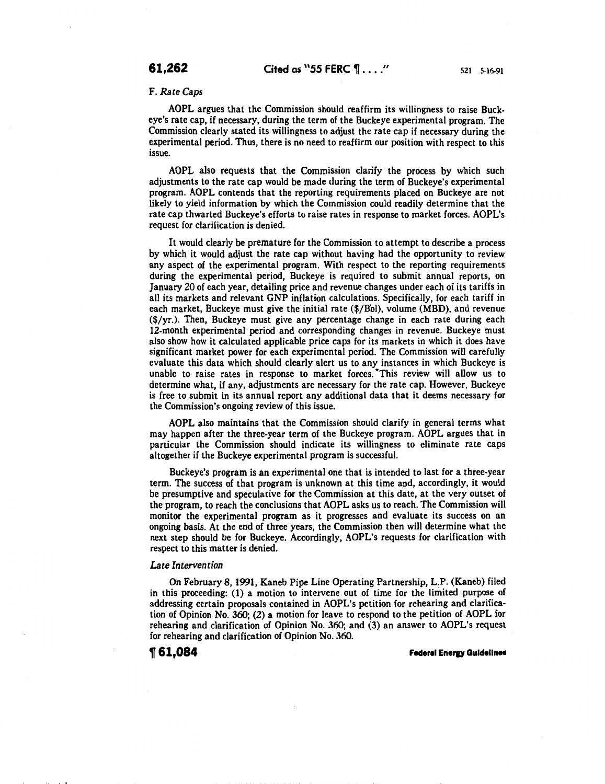# F. *Rate Caps*

AOPL argues that the Commission should reaffirm its willingness to raise Buckeye's rate cap, if necessary, during the term of the Buckeye experimental program. The Commission clearly stated its willingness to adjust the rate cap if necessary during the experimental period. Thus, there is no need to reaffirm our position with respect to this issue.

AOPL also requests that the Commission clarify the process by which such adjustments to the rate cap would be made during the term of Buckeye's experimental program. AOPL contends that the reporting requirements placed on Buckeye are not likely to yield information by which the Commission could readily determine that the rate cap thwarted Buckeye's efforts to raise rates in response to market forces. AOPL's request for clarification is denied.

It would clearly be premature for the Commission to attempt to describe a process by which it would adjust the rate cap without having had the opportunity to review any aspect of the experimental program. With respect to the reporting requirements during the experimental period, Buckeye is required to submit annual reports, on January 20 of each year, detailing price and revenue changes under each of its tariffs in all its markets and relevant GNP inflation calculations. Specifically, for each tariff in each market, Buckeye must give the initial rate (\$/Bbl), volume (MBD), and revenue (\$/yr.). Then, Buckeye must give any percentage change in each rate during each 12-month experimental period and corresponding changes in revenue. Buckeye must also show how it calculated applicable price caps for its markets in which it does have significant market power for each experimental period. The Commission will carefully evaluate this data which should clearly alert us to any instances in which Buckeye is unable to raise rates in response to market forces. •This review will allow us to determine what, if any, adjustments are necessary for the rate cap. However, Buckeye is free to submit in its annual report any additional data that it deems necessary for the Commission's ongoing review of this issue.

AOPL also maintains that the Commission should clarify in general terms what may happen after the three-year term of the Buckeye program. AOPL argues that in particular the Commission should indicate its willingness to eliminate rate caps altogether if the Buckeye experimental program is successful.

Buckeye's program is an experimental one that is intended to last for a three-year term. The success of that program is unknown at this time and, accordingly, it would be presumptive and speculative for the Commission at this date, at the very outset of the program, to reach the conclusions that AOPL asks us to reach. The Commission will monitor the experimental program as it progresses and evaluate its success on an ongoing basis. At the end of three years, the Commission then will determine what the next step should be for Buckeye. Accordingly, AOPL's requests for clarification with respect to this matter is denied.

#### *Late Intervention*

On February 8, 1991, Kaneb Pipe Line Operating Partnership, L.P. (Kaneb) filed in this proceeding: (1) a motion to intervene out of time for the limited purpose of addressing certain proposals contained in AOPL's petition for rehearing and clarification of Opinion No. 360; (2) a motion for leave to respond to the petition of AOPL for rehearing and clarification of Opinion No. 360; and (3) an answer to AOPL's request for rehearing and clarification of Opinion No. 360.

• I

**1r61,084 Feder•l Eneru Guidelines**